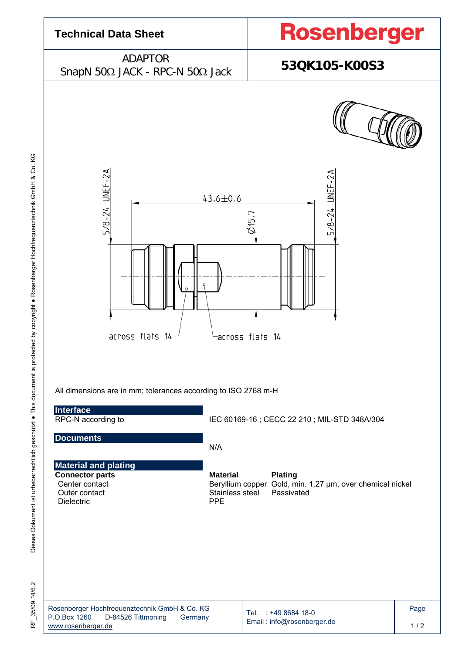

Dieses Dokument ist urheberrechtlich geschützt ● This document is protected by copyright ● Rosenberger Hochfrequenztechnik GmbH & Co. KG Dieses Dokument ist urheberrechtlich geschützt · This document is protected by copyright · Rosenberger Hochfrequenztechnik GmbH & Co. KG

RF\_35/09.14/6.2 35/09.14/6.2 눈